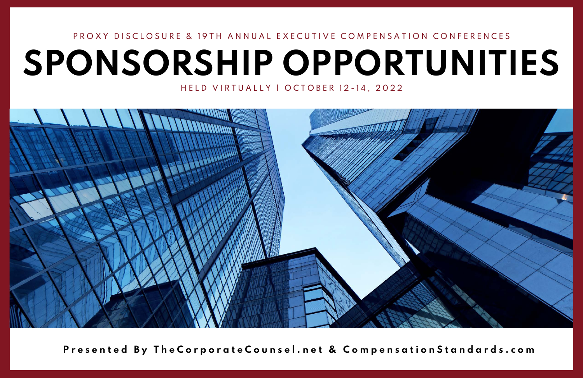# **SPONSORSHIP OPPORTUNITIES** P R O X Y D I S C L O S U R E & 19 T H A N N U A L E X E C U T I V E C O M P E N S A T I O N C O N F E R E N C E S

HELD VIRTUALLY | OCTOBER 12-14, 2022



Presented By The Corporate Counsel.net & Compensation Standards.com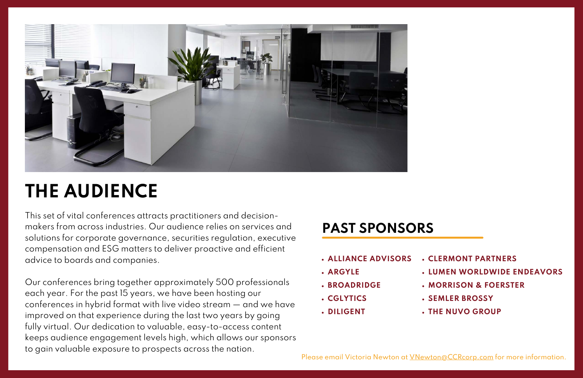

## **THE AUDIENCE**

This set of vital conferences attracts practitioners and decisionmakers from across industries. Our audience relies on services and solutions for corporate governance, securities regulation, executive compensation and ESG matters to deliver proactive and efficient advice to boards and companies.

Our conferences bring together approximately 500 professionals each year. For the past 15 years, we have been hosting our conferences in hybrid format with live video stream — and we have improved on that experience during the last two years by going fully virtual. Our dedication to valuable, easy-to-access content keeps audience engagement levels high, which allows our sponsors to gain valuable exposure to prospects across the nation.

## **PAST SPONSORS**

- **ALLIANCE ADVISORS**
- **ARGYLE**
- **BROADRIDGE**
- **CGLYTICS**
- **DILIGENT**

**CLERMONT PARTNERS LUMEN WORLDWIDE ENDEAVORS MORRISON & FOERSTER SEMLER BROSSY THE NUVO GROUP**

Please email Victoria Newton at **VNewton@CCRcorp.com** for more information.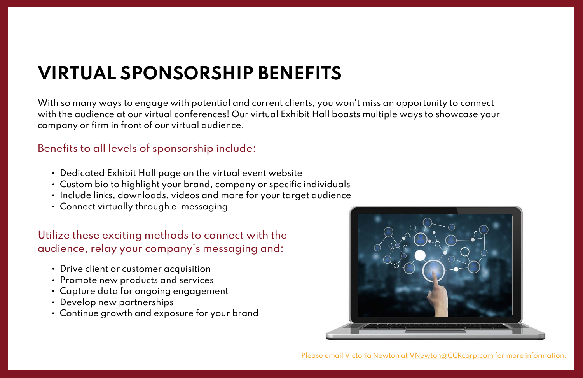With so many ways to engage with potential and current clients, you won't miss an opportunity to connect with the audience at our virtual conferences! Our virtual Exhibit Hall boasts multiple ways to showcase your company or firm in front of our virtual audience.

### Benefits to all levels of sponsorship include:

- Dedicated Exhibit Hall page on the virtual event website
- Custom bio to highlight your brand, company or specific individuals
- Include links, downloads, videos and more for your target audience
- Connect virtually through e-messaging

### Utilize these exciting methods to connect with the audience, relay your company's messaging and:

- Drive client or customer acquisition
- Promote new products and services
- Capture data for ongoing engagement
- Develop new partnerships
- Continue growth and exposure for your brand



Please email Victoria Newton at [VNewton@CCRcorp.com](http://ccrcorp.com/) for more information.

# **VIRTUAL SPONSORSHIP BENEFITS**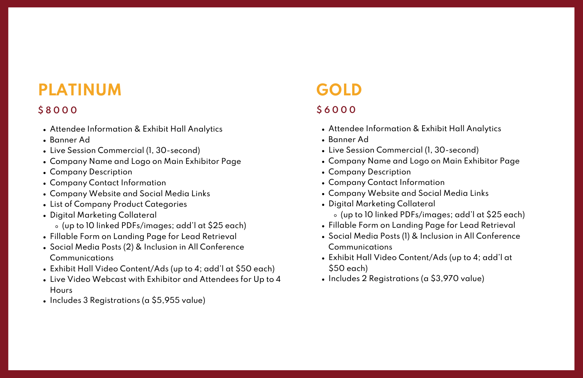## **PLATINUM**

- Attendee Information & Exhibit Hall Analytics
- Banner Ad
- Live Session Commercial (1, 30-second)
- Company Name and Logo on Main Exhibitor Page
- Company Description
- Company Contact Information
- Company Website and Social Media Links
- List of Company Product Categories
- Digital Marketing Collateral (up to 10 linked PDFs/images; add'l at \$25 each)
- Fillable Form on Landing Page for Lead Retrieval
- Social Media Posts (2) & Inclusion in All Conference Communications
- Exhibit Hall Video Content/Ads (up to 4; add'l at \$50 each)
- Live Video Webcast with Exhibitor and Attendees for Up to 4 **Hours**
- Includes 3 Registrations (a \$5,955 value)
- Attendee Information & Exhibit Hall Analytics
- Banner Ad
- Live Session Commercial (1, 30-second)
- Company Name and Logo on Main Exhibitor Page
- Company Description
- Company Contact Information
- Company Website and Social Media Links
- Digital Marketing Collateral (up to 10 linked PDFs/images; add'l at \$25 each)
- Fillable Form on Landing Page for Lead Retrieval
- Social Media Posts (1) & Inclusion in All Conference Communications
- Exhibit Hall Video Content/Ads (up to 4; add'l at \$50 each)
- Includes 2 Registrations (a \$3,970 value)

### **\$ 8 0 0 0**

## **GOLD**

#### **\$ 6 0 0 0**